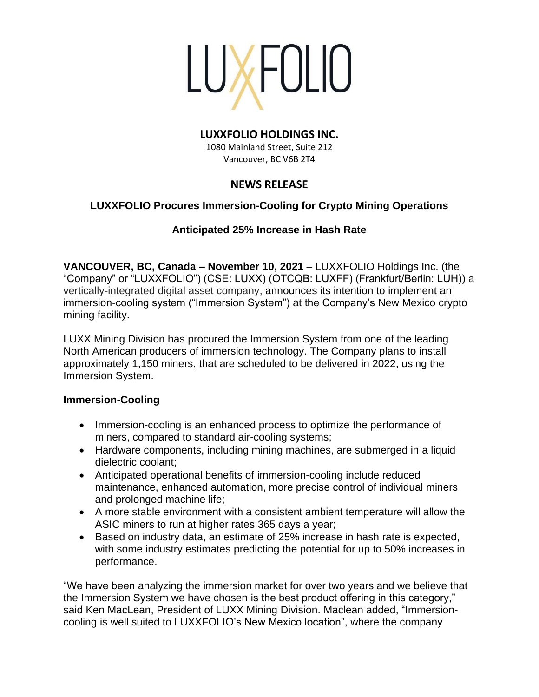

#### **LUXXFOLIO HOLDINGS INC.**

1080 Mainland Street, Suite 212 Vancouver, BC V6B 2T4

# **NEWS RELEASE**

## **LUXXFOLIO Procures Immersion-Cooling for Crypto Mining Operations**

## **Anticipated 25% Increase in Hash Rate**

**VANCOUVER, BC, Canada – November 10, 2021** – LUXXFOLIO Holdings Inc. (the "Company" or "LUXXFOLIO") (CSE: LUXX) (OTCQB: LUXFF) (Frankfurt/Berlin: LUH)) a vertically-integrated digital asset company, announces its intention to implement an immersion-cooling system ("Immersion System") at the Company's New Mexico crypto mining facility.

LUXX Mining Division has procured the Immersion System from one of the leading North American producers of immersion technology. The Company plans to install approximately 1,150 miners, that are scheduled to be delivered in 2022, using the Immersion System.

### **Immersion-Cooling**

- Immersion-cooling is an enhanced process to optimize the performance of miners, compared to standard air-cooling systems;
- Hardware components, including mining machines, are submerged in a liquid dielectric coolant;
- Anticipated operational benefits of immersion-cooling include reduced maintenance, enhanced automation, more precise control of individual miners and prolonged machine life;
- A more stable environment with a consistent ambient temperature will allow the ASIC miners to run at higher rates 365 days a year;
- Based on industry data, an estimate of 25% increase in hash rate is expected, with some industry estimates predicting the potential for up to 50% increases in performance.

"We have been analyzing the immersion market for over two years and we believe that the Immersion System we have chosen is the best product offering in this category," said Ken MacLean, President of LUXX Mining Division. Maclean added, "Immersioncooling is well suited to LUXXFOLIO's New Mexico location", where the company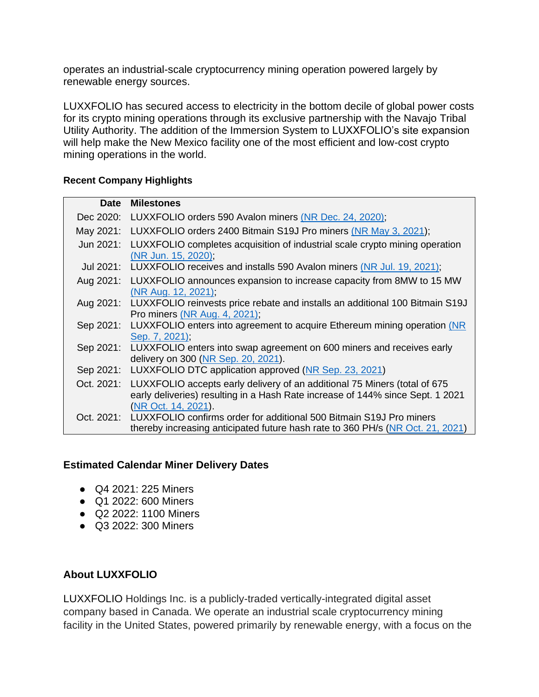operates an industrial-scale cryptocurrency mining operation powered largely by renewable energy sources.

LUXXFOLIO has secured access to electricity in the bottom decile of global power costs for its crypto mining operations through its exclusive partnership with the Navajo Tribal Utility Authority. The addition of the Immersion System to LUXXFOLIO's site expansion will help make the New Mexico facility one of the most efficient and low-cost crypto mining operations in the world.

#### **Recent Company Highlights**

| <b>Date</b> | <b>Milestones</b>                                                                                                                                                                  |
|-------------|------------------------------------------------------------------------------------------------------------------------------------------------------------------------------------|
| Dec 2020:   | LUXXFOLIO orders 590 Avalon miners (NR Dec. 24, 2020);                                                                                                                             |
| May 2021:   | LUXXFOLIO orders 2400 Bitmain S19J Pro miners (NR May 3, 2021);                                                                                                                    |
| Jun 2021:   | LUXXFOLIO completes acquisition of industrial scale crypto mining operation<br>(NR Jun. 15, 2020).                                                                                 |
| Jul 2021:   | LUXXFOLIO receives and installs 590 Avalon miners (NR Jul. 19, 2021);                                                                                                              |
| Aug 2021:   | LUXXFOLIO announces expansion to increase capacity from 8MW to 15 MW<br>(NR Aug. 12, 2021).                                                                                        |
| Aug 2021:   | LUXXFOLIO reinvests price rebate and installs an additional 100 Bitmain S19J<br><b>Pro miners (NR Aug. 4, 2021);</b>                                                               |
| Sep 2021:   | LUXXFOLIO enters into agreement to acquire Ethereum mining operation (NR<br>Sep. 7, 2021);                                                                                         |
| Sep 2021:   | LUXXFOLIO enters into swap agreement on 600 miners and receives early<br>delivery on 300 (NR Sep. 20, 2021).                                                                       |
| Sep 2021:   | LUXXFOLIO DTC application approved (NR Sep. 23, 2021)                                                                                                                              |
| Oct. 2021:  | LUXXFOLIO accepts early delivery of an additional 75 Miners (total of 675<br>early deliveries) resulting in a Hash Rate increase of 144% since Sept. 1 2021<br>(NR Oct. 14, 2021). |
| Oct. 2021:  | LUXXFOLIO confirms order for additional 500 Bitmain S19J Pro miners                                                                                                                |
|             | thereby increasing anticipated future hash rate to 360 PH/s (NR Oct. 21, 2021)                                                                                                     |

## **Estimated Calendar Miner Delivery Dates**

- Q4 2021: 225 Miners
- Q1 2022: 600 Miners
- Q2 2022: 1100 Miners
- Q3 2022: 300 Miners

## **About LUXXFOLIO**

LUXXFOLIO Holdings Inc. is a publicly-traded vertically-integrated digital asset company based in Canada. We operate an industrial scale cryptocurrency mining facility in the United States, powered primarily by renewable energy, with a focus on the